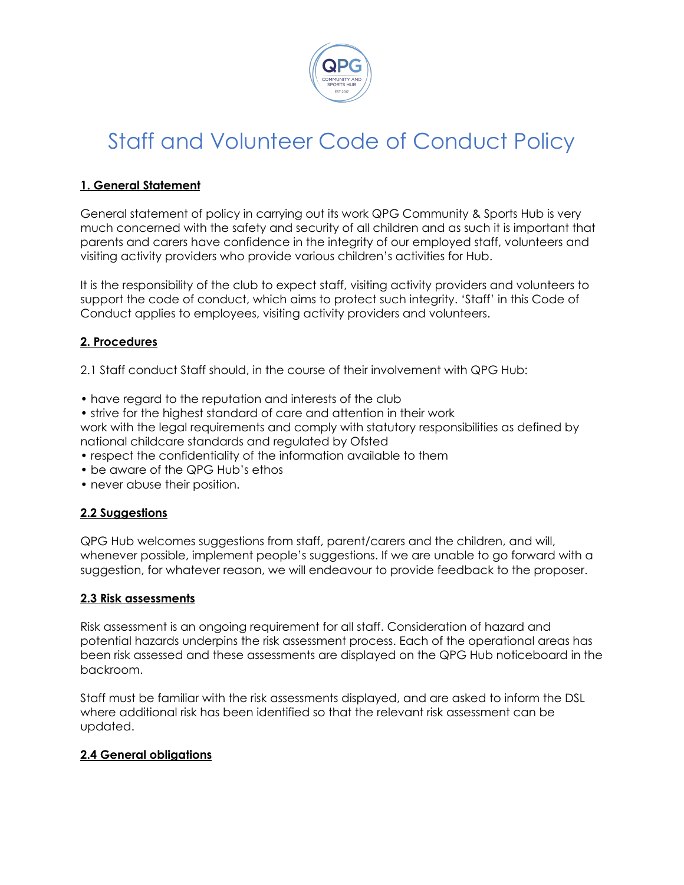

# Staff and Volunteer Code of Conduct Policy

### **1. General Statement**

General statement of policy in carrying out its work QPG Community & Sports Hub is very much concerned with the safety and security of all children and as such it is important that parents and carers have confidence in the integrity of our employed staff, volunteers and visiting activity providers who provide various children's activities for Hub.

It is the responsibility of the club to expect staff, visiting activity providers and volunteers to support the code of conduct, which aims to protect such integrity. 'Staff' in this Code of Conduct applies to employees, visiting activity providers and volunteers.

#### **2. Procedures**

2.1 Staff conduct Staff should, in the course of their involvement with QPG Hub:

- have regard to the reputation and interests of the club
- strive for the highest standard of care and attention in their work

work with the legal requirements and comply with statutory responsibilities as defined by national childcare standards and regulated by Ofsted

- respect the confidentiality of the information available to them
- be aware of the QPG Hub's ethos
- never abuse their position.

#### **2.2 Suggestions**

QPG Hub welcomes suggestions from staff, parent/carers and the children, and will, whenever possible, implement people's suggestions. If we are unable to go forward with a suggestion, for whatever reason, we will endeavour to provide feedback to the proposer.

#### **2.3 Risk assessments**

Risk assessment is an ongoing requirement for all staff. Consideration of hazard and potential hazards underpins the risk assessment process. Each of the operational areas has been risk assessed and these assessments are displayed on the QPG Hub noticeboard in the backroom.

Staff must be familiar with the risk assessments displayed, and are asked to inform the DSL where additional risk has been identified so that the relevant risk assessment can be updated.

#### **2.4 General obligations**